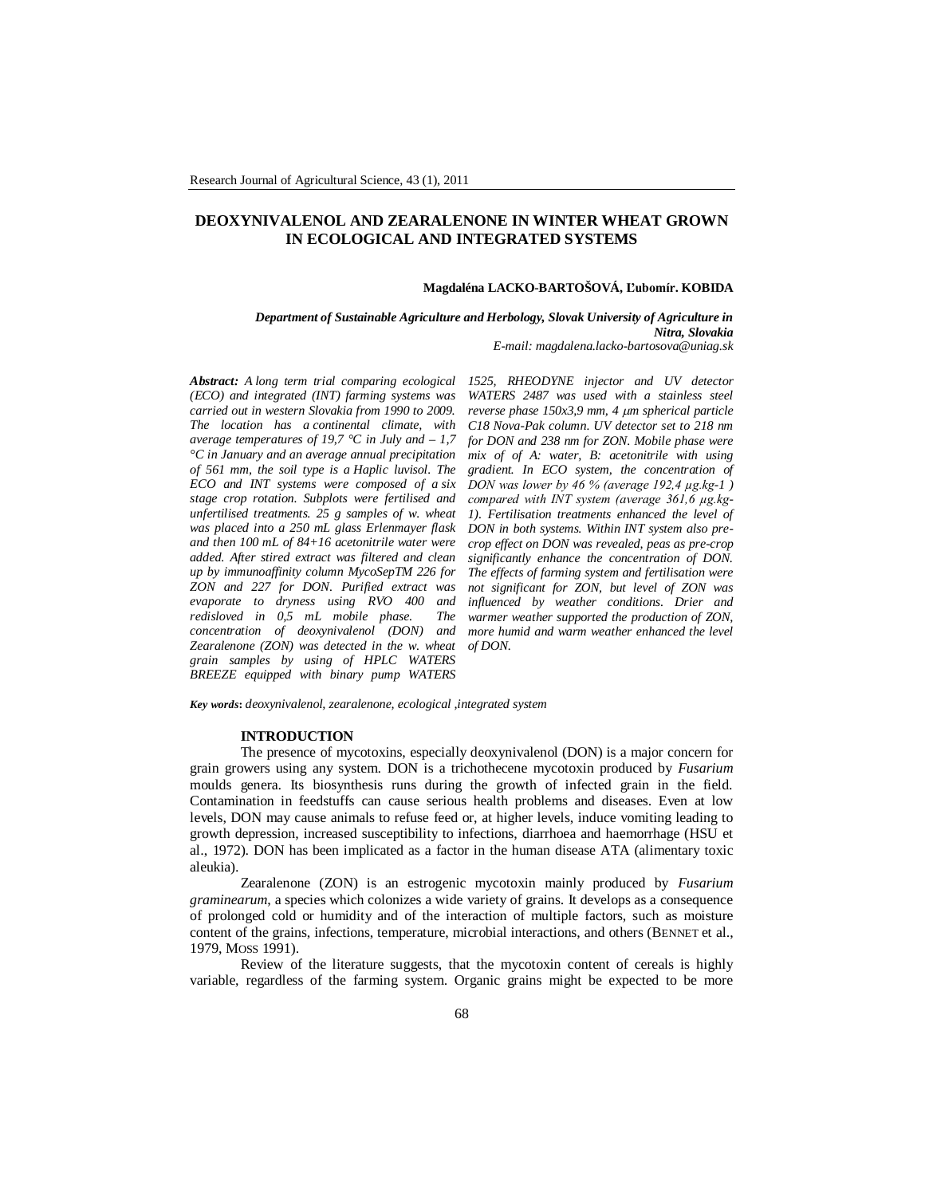# **DEOXYNIVALENOL AND ZEARALENONE IN WINTER WHEAT GROWN IN ECOLOGICAL AND INTEGRATED SYSTEMS**

#### **Magdaléna LACKO-BARTOŠOVÁ, Ľubomír. KOBIDA**

*Department of Sustainable Agriculture and Herbology, Slovak University of Agriculture in Nitra, Slovakia*

*E-mail: magdalena.lacko-bartosova@uniag.sk*

*Abstract: A long term trial comparing ecological (ECO) and integrated (INT) farming systems was carried out in western Slovakia from 1990 to 2009. The location has a continental climate, with average temperatures of 19,7 °C in July and – 1,7 °C in January and an average annual precipitation of 561 mm, the soil type is a Haplic luvisol. The ECO and INT systems were composed of a six stage crop rotation. Subplots were fertilised and unfertilised treatments. 25 g samples of w. wheat was placed into a 250 mL glass Erlenmayer flask and then 100 mL of 84+16 acetonitrile water were added. After stired extract was filtered and clean up by immunoaffinity column MycoSepTM 226 for ZON and 227 for DON. Purified extract was evaporate to dryness using RVO 400 and redisloved in 0,5 mL mobile phase. The concentration of deoxynivalenol (DON) and Zearalenone (ZON) was detected in the w. wheat grain samples by using of HPLC WATERS BREEZE equipped with binary pump WATERS* 

*1525, RHEODYNE injector and UV detector WATERS 2487 was used with a stainless steel reverse phase 150x3,9 mm, 4 m spherical particle C18 Nova-Pak column. UV detector set to 218 nm for DON and 238 nm for ZON. Mobile phase were mix of of A: water, B: acetonitrile with using gradient. In ECO system, the concentration of DON was lower by 46 % (average 192,4 µg.kg-1 ) compared with INT system (average 361,6 µg.kg-1). Fertilisation treatments enhanced the level of DON in both systems. Within INT system also precrop effect on DON was revealed, peas as pre-crop significantly enhance the concentration of DON. The effects of farming system and fertilisation were not significant for ZON, but level of ZON was influenced by weather conditions. Drier and warmer weather supported the production of ZON, more humid and warm weather enhanced the level of DON.*

*Key words***:** *deoxynivalenol, zearalenone, ecological ,integrated system*

#### **INTRODUCTION**

The presence of mycotoxins, especially deoxynivalenol (DON) is a major concern for grain growers using any system. DON is a trichothecene mycotoxin produced by *Fusarium* moulds genera. Its biosynthesis runs during the growth of infected grain in the field. Contamination in feedstuffs can cause serious health problems and diseases. Even at low levels, DON may cause animals to refuse feed or, at higher levels, induce vomiting leading to growth depression, increased susceptibility to infections, diarrhoea and haemorrhage (HSU et al., 1972). DON has been implicated as a factor in the human disease ATA (alimentary toxic aleukia).

Zearalenone (ZON) is an estrogenic mycotoxin mainly produced by *Fusarium graminearum*, a species which colonizes a wide variety of grains. It develops as a consequence of prolonged cold or humidity and of the interaction of multiple factors, such as moisture content of the grains, infections, temperature, microbial interactions, and others (BENNET et al., 1979, MOSS 1991).

Review of the literature suggests, that the mycotoxin content of cereals is highly variable, regardless of the farming system. Organic grains might be expected to be more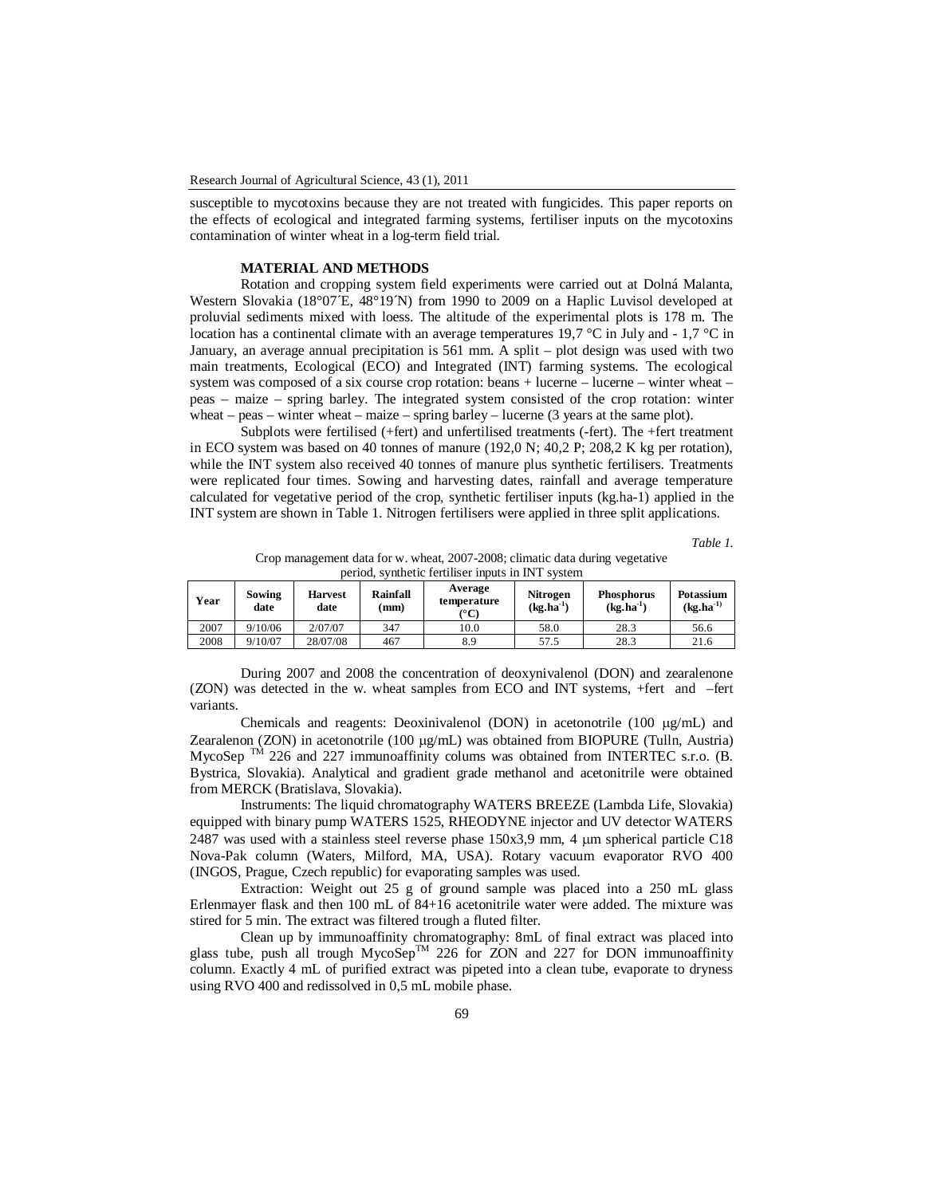susceptible to mycotoxins because they are not treated with fungicides. This paper reports on the effects of ecological and integrated farming systems, fertiliser inputs on the mycotoxins contamination of winter wheat in a log-term field trial.

## **MATERIAL AND METHODS**

Rotation and cropping system field experiments were carried out at Dolná Malanta, Western Slovakia (18°07 $E$ , 48°19 $N$ ) from 1990 to 2009 on a Haplic Luvisol developed at proluvial sediments mixed with loess. The altitude of the experimental plots is 178 m. The location has a continental climate with an average temperatures 19,7 °C in July and - 1,7 °C in January, an average annual precipitation is 561 mm. A split – plot design was used with two main treatments, Ecological (ECO) and Integrated (INT) farming systems. The ecological system was composed of a six course crop rotation: beans + lucerne – lucerne – winter wheat – peas – maize – spring barley. The integrated system consisted of the crop rotation: winter wheat – peas – winter wheat – maize – spring barley – lucerne (3 years at the same plot).

Subplots were fertilised (+fert) and unfertilised treatments (-fert). The +fert treatment in ECO system was based on 40 tonnes of manure (192,0 N; 40,2 P; 208,2 K kg per rotation), while the INT system also received 40 tonnes of manure plus synthetic fertilisers. Treatments were replicated four times. Sowing and harvesting dates, rainfall and average temperature calculated for vegetative period of the crop, synthetic fertiliser inputs (kg.ha-1) applied in the INT system are shown in Table 1. Nitrogen fertilisers were applied in three split applications.

*Table 1.* 

Crop management data for w. wheat, 2007-2008; climatic data during vegetative period, synthetic fertiliser inputs in INT system

| Year | Sowing<br>date | <b>Harvest</b><br>date | Rainfall<br>(mm | Average<br>temperature<br>(°C) | Nitrogen<br>$(kg, ha^{-1})$ | <b>Phosphorus</b><br>$(kg, ha^{-1})$ | Potassium<br>$(kg, ha-1)$ |
|------|----------------|------------------------|-----------------|--------------------------------|-----------------------------|--------------------------------------|---------------------------|
| 2007 | 9/10/06        | 2/07/07                | 347             | 10.0                           | 58.0                        | 28.3                                 | 56.6                      |
| 2008 | 9/10/07        | 28/07/08               | 467             | 8.9                            | 57.5                        | 28.3                                 | 21.6                      |

During 2007 and 2008 the concentration of deoxynivalenol (DON) and zearalenone (ZON) was detected in the w. wheat samples from ECO and INT systems, +fert and –fert variants.

Chemicals and reagents: Deoxinivalenol (DON) in acetonotrile (100  $\mu$ g/mL) and Zearalenon (ZON) in acetonotrile (100 µg/mL) was obtained from BIOPURE (Tulln, Austria) MycoSep  $\overline{M}$  226 and 227 immunoaffinity colums was obtained from INTERTEC s.r.o. (B. Bystrica, Slovakia). Analytical and gradient grade methanol and acetonitrile were obtained from MERCK (Bratislava, Slovakia).

Instruments: The liquid chromatography WATERS BREEZE (Lambda Life, Slovakia) equipped with binary pump WATERS 1525, RHEODYNE injector and UV detector WATERS 2487 was used with a stainless steel reverse phase  $150x3,9$  mm, 4  $\mu$ m spherical particle C18 Nova-Pak column (Waters, Milford, MA, USA). Rotary vacuum evaporator RVO 400 (INGOS, Prague, Czech republic) for evaporating samples was used.

Extraction: Weight out 25 g of ground sample was placed into a 250 mL glass Erlenmayer flask and then 100 mL of 84+16 acetonitrile water were added. The mixture was stired for 5 min. The extract was filtered trough a fluted filter.

Clean up by immunoaffinity chromatography: 8mL of final extract was placed into glass tube, push all trough MycoSep<sup>TM</sup> 226 for ZON and 227 for DON immunoaffinity column. Exactly 4 mL of purified extract was pipeted into a clean tube, evaporate to dryness using RVO 400 and redissolved in 0,5 mL mobile phase.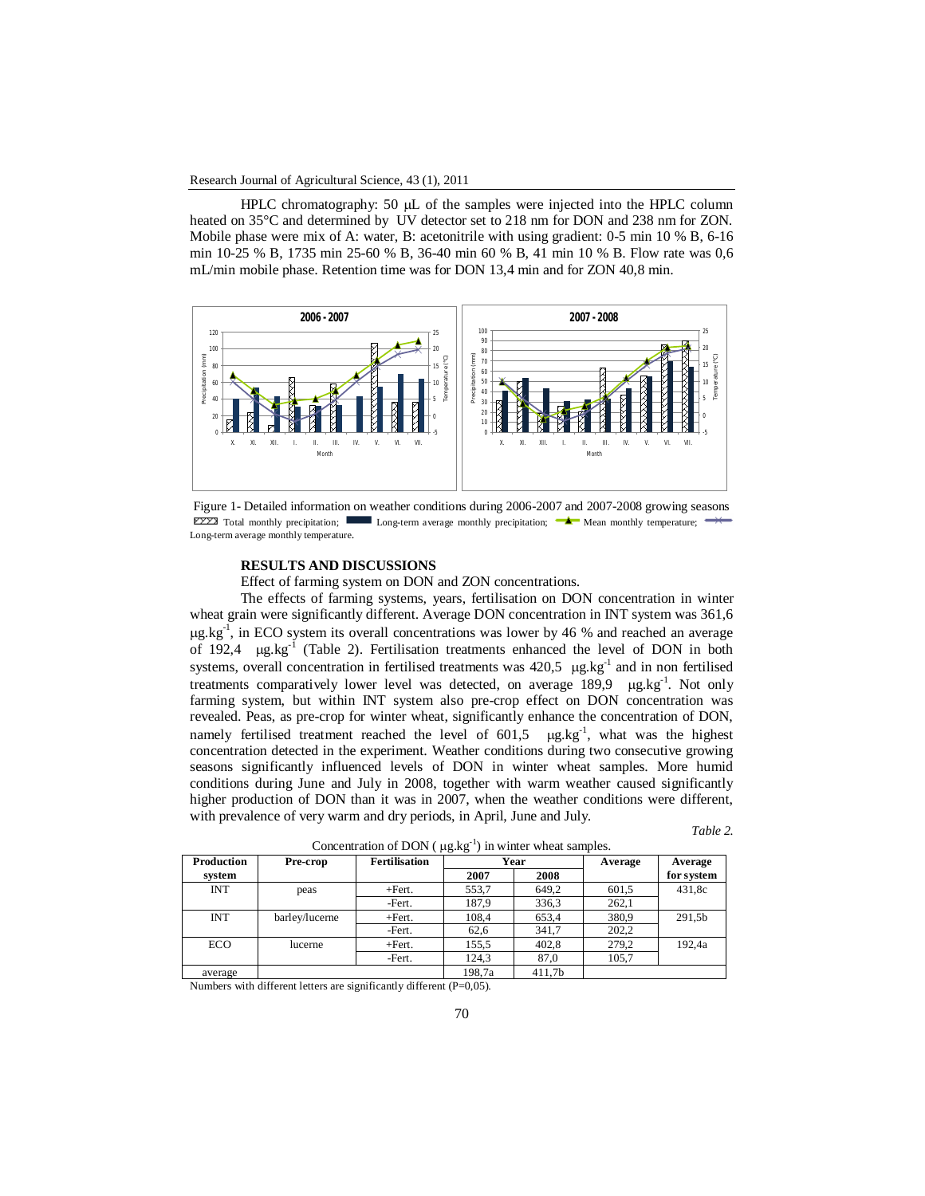#### Research Journal of Agricultural Science, 43 (1), 2011

HPLC chromatography:  $50 \mu L$  of the samples were injected into the HPLC column heated on 35°C and determined by UV detector set to 218 nm for DON and 238 nm for ZON. Mobile phase were mix of A: water, B: acetonitrile with using gradient: 0-5 min 10 % B, 6-16 min 10-25 % B, 1735 min 25-60 % B, 36-40 min 60 % B, 41 min 10 % B. Flow rate was 0,6 mL/min mobile phase. Retention time was for DON 13,4 min and for ZON 40,8 min.



Figure 1- Detailed information on weather conditions during 2006-2007 and 2007-2008 growing seasons  $E222$  Total monthly precipitation; Long-term average monthly precipitation;  $\blacktriangle$  Mean monthly temperature; Long-term average monthly temperature.

### **RESULTS AND DISCUSSIONS**

Effect of farming system on DON and ZON concentrations.

The effects of farming systems, years, fertilisation on DON concentration in winter wheat grain were significantly different. Average DON concentration in INT system was 361,6  $\mu$ g.kg<sup>-1</sup>, in ECO system its overall concentrations was lower by 46 % and reached an average of 192,4  $\mu$ g.kg<sup>-1</sup> (Table 2). Fertilisation treatments enhanced the level of DON in both systems, overall concentration in fertilised treatments was  $420,5 \ \mu g kg^{-1}$  and in non fertilised treatments comparatively lower level was detected, on average 189,9 µg.kg<sup>-1</sup>. Not only farming system, but within INT system also pre-crop effect on DON concentration was revealed. Peas, as pre-crop for winter wheat, significantly enhance the concentration of DON, namely fertilised treatment reached the level of  $601,5$   $\mu$ g.kg<sup>-1</sup>, what was the highest concentration detected in the experiment. Weather conditions during two consecutive growing seasons significantly influenced levels of DON in winter wheat samples. More humid conditions during June and July in 2008, together with warm weather caused significantly higher production of DON than it was in 2007, when the weather conditions were different, with prevalence of very warm and dry periods, in April, June and July.

*Table 2.* 

|            | $\cdots$ $\cdots$ |                      |        |        |         |            |  |  |
|------------|-------------------|----------------------|--------|--------|---------|------------|--|--|
| Production | Pre-crop          | <b>Fertilisation</b> | Year   |        | Average | Average    |  |  |
| system     |                   |                      | 2007   | 2008   |         | for system |  |  |
| <b>INT</b> | peas              | $+$ Fert.            | 553,7  | 649.2  | 601,5   | 431,8c     |  |  |
|            |                   | -Fert.               | 187,9  | 336,3  | 262,1   |            |  |  |
| <b>INT</b> | barley/lucerne    | $+$ Fert.            | 108,4  | 653,4  | 380,9   | 291,5b     |  |  |
|            |                   | -Fert.               | 62,6   | 341.7  | 202,2   |            |  |  |
| ECO.       | lucerne           | $+$ Fert.            | 155,5  | 402,8  | 279,2   | 192,4a     |  |  |
|            |                   | -Fert.               | 124,3  | 87,0   | 105,7   |            |  |  |
| average    |                   |                      | 198.7a | 411.7b |         |            |  |  |

Concentration of DON ( $\mu$ g.kg<sup>-1</sup>) in winter wheat samples.

Numbers with different letters are significantly different (P=0,05).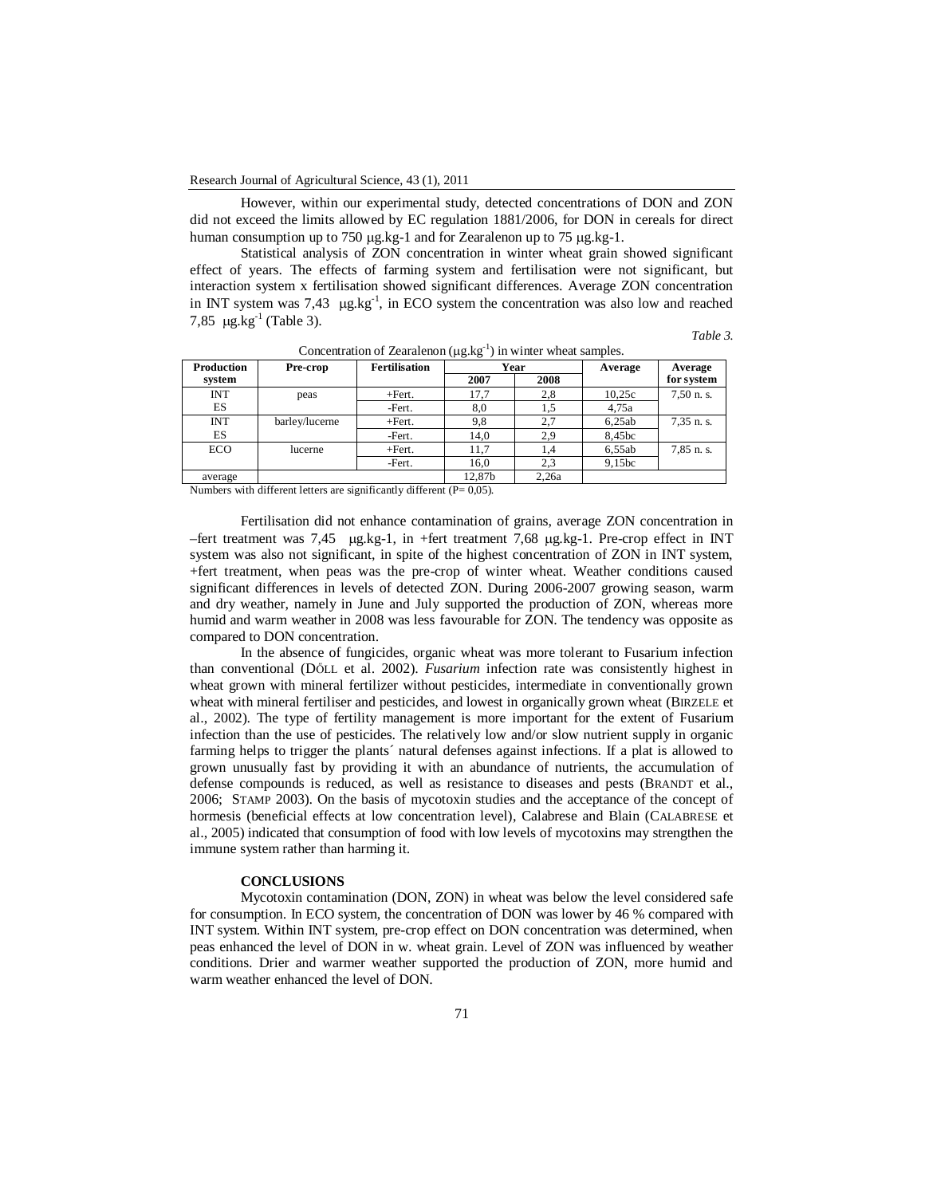However, within our experimental study, detected concentrations of DON and ZON did not exceed the limits allowed by EC regulation 1881/2006, for DON in cereals for direct human consumption up to 750  $\mu$ g.kg-1 and for Zearalenon up to 75  $\mu$ g.kg-1.

Statistical analysis of ZON concentration in winter wheat grain showed significant effect of years. The effects of farming system and fertilisation were not significant, but interaction system x fertilisation showed significant differences. Average ZON concentration in INT system was 7,43  $\mu$ g.kg<sup>-1</sup>, in ECO system the concentration was also low and reached 7,85  $\mu$ g.kg<sup>-1</sup> (Table 3).

*Table 3.* 

| Production | Pre-crop       | <b>Fertilisation</b> | Year   |       | Average | Average    |  |
|------------|----------------|----------------------|--------|-------|---------|------------|--|
| system     |                |                      | 2007   | 2008  |         | for system |  |
| <b>INT</b> | peas           | $+Fert.$             | 17.7   | 2,8   | 10,25c  | 7,50 n. s. |  |
| ES         |                | -Fert.               | 8,0    |       | 4.75a   |            |  |
| <b>INT</b> | barley/lucerne | $+Fert.$             | 9,8    | 2,7   | 6,25ab  | 7,35 n. s. |  |
| ES         |                | -Fert.               | 14,0   | 2,9   | 8,45bc  |            |  |
| <b>ECO</b> | lucerne        | $+Fert.$             | 11,7   | 1.4   | 6,55ab  | 7,85 n. s. |  |
|            |                | -Fert.               | 16,0   | 2,3   | 9,15bc  |            |  |
| average    |                |                      | 12.87b | 2.26a |         |            |  |

Concentration of Zearalenon  $(\mu g.kg^{-1})$  in winter wheat samples.

Numbers with different letters are significantly different  $(P= 0.05)$ .

Fertilisation did not enhance contamination of grains, average ZON concentration in –fert treatment was 7,45  $\mu$ g.kg-1, in +fert treatment 7,68  $\mu$ g.kg-1. Pre-crop effect in INT system was also not significant, in spite of the highest concentration of ZON in INT system, +fert treatment, when peas was the pre-crop of winter wheat. Weather conditions caused significant differences in levels of detected ZON. During 2006-2007 growing season, warm and dry weather, namely in June and July supported the production of ZON, whereas more humid and warm weather in 2008 was less favourable for ZON. The tendency was opposite as compared to DON concentration.

In the absence of fungicides, organic wheat was more tolerant to Fusarium infection than conventional (DŐLL et al. 2002). *Fusarium* infection rate was consistently highest in wheat grown with mineral fertilizer without pesticides, intermediate in conventionally grown wheat with mineral fertiliser and pesticides, and lowest in organically grown wheat (BIRZELE et al., 2002). The type of fertility management is more important for the extent of Fusarium infection than the use of pesticides. The relatively low and/or slow nutrient supply in organic farming helps to trigger the plants´ natural defenses against infections. If a plat is allowed to grown unusually fast by providing it with an abundance of nutrients, the accumulation of defense compounds is reduced, as well as resistance to diseases and pests (BRANDT et al., 2006; STAMP 2003). On the basis of mycotoxin studies and the acceptance of the concept of hormesis (beneficial effects at low concentration level), Calabrese and Blain (CALABRESE et al., 2005) indicated that consumption of food with low levels of mycotoxins may strengthen the immune system rather than harming it.

### **CONCLUSIONS**

Mycotoxin contamination (DON, ZON) in wheat was below the level considered safe for consumption. In ECO system, the concentration of DON was lower by 46 % compared with INT system. Within INT system, pre-crop effect on DON concentration was determined, when peas enhanced the level of DON in w. wheat grain. Level of ZON was influenced by weather conditions. Drier and warmer weather supported the production of ZON, more humid and warm weather enhanced the level of DON.